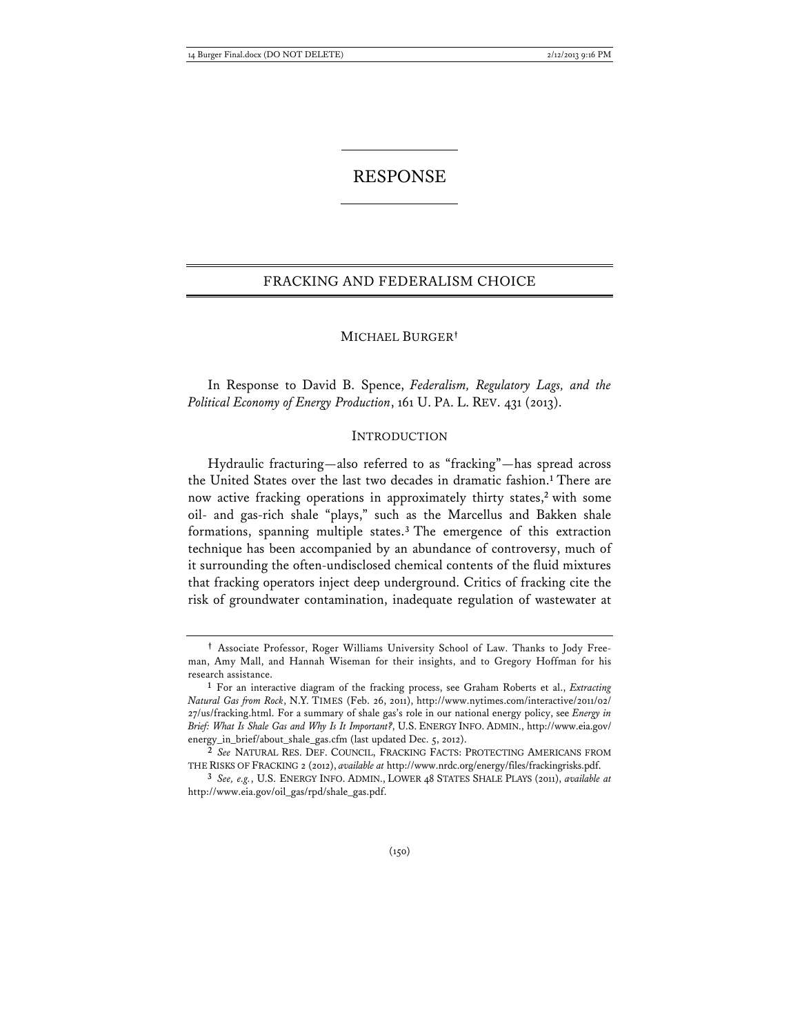# RESPONSE

# FRACKING AND FEDERALISM CHOICE

### MICHAEL BURGER**†**

In Response to David B. Spence, *Federalism, Regulatory Lags, and the Political Economy of Energy Production*, 161 U. PA. L. REV. 431 (2013).

#### INTRODUCTION

Hydraulic fracturing—also referred to as "fracking"—has spread across the United States over the last two decades in dramatic fashion.**<sup>1</sup>** There are now active fracking operations in approximately thirty states,**<sup>2</sup>** with some oil- and gas-rich shale "plays," such as the Marcellus and Bakken shale formations, spanning multiple states.**<sup>3</sup>** The emergence of this extraction technique has been accompanied by an abundance of controversy, much of it surrounding the often-undisclosed chemical contents of the fluid mixtures that fracking operators inject deep underground. Critics of fracking cite the risk of groundwater contamination, inadequate regulation of wastewater at

**<sup>†</sup>** Associate Professor, Roger Williams University School of Law. Thanks to Jody Freeman, Amy Mall, and Hannah Wiseman for their insights, and to Gregory Hoffman for his research assistance.

**<sup>1</sup>** For an interactive diagram of the fracking process, see Graham Roberts et al., *Extracting Natural Gas from Rock*, N.Y. TIMES (Feb. 26, 2011), http://www.nytimes.com/interactive/2011/02/ 27/us/fracking.html. For a summary of shale gas's role in our national energy policy, see *Energy in Brief: What Is Shale Gas and Why Is It Important?*, U.S. ENERGY INFO. ADMIN., http://www.eia.gov/ energy\_in\_brief/about\_shale\_gas.cfm (last updated Dec. 5, 2012).

**<sup>2</sup>** *See* NATURAL RES. DEF. COUNCIL, FRACKING FACTS: PROTECTING AMERICANS FROM THE RISKS OF FRACKING 2 (2012), *available at* http://www.nrdc.org/energy/files/frackingrisks.pdf.

**<sup>3</sup>** *See, e.g.*, U.S. ENERGY INFO. ADMIN., LOWER 48 STATES SHALE PLAYS (2011), *available at* http://www.eia.gov/oil\_gas/rpd/shale\_gas.pdf.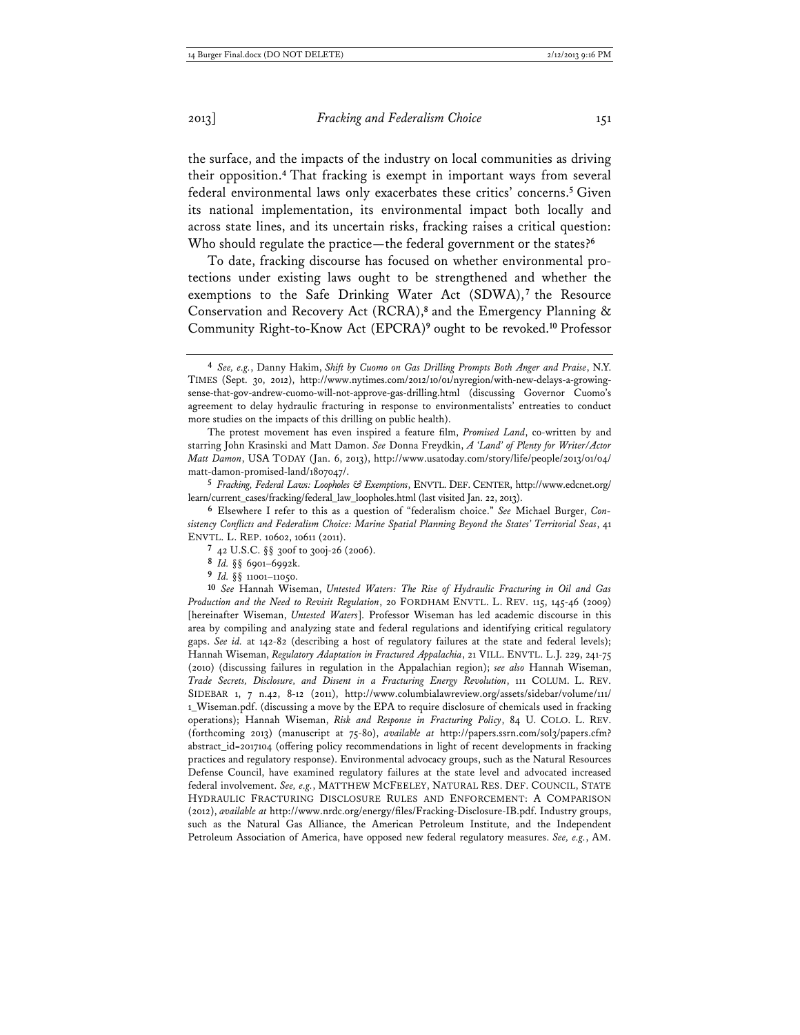the surface, and the impacts of the industry on local communities as driving their opposition.**<sup>4</sup>** That fracking is exempt in important ways from several federal environmental laws only exacerbates these critics' concerns.**<sup>5</sup>** Given its national implementation, its environmental impact both locally and across state lines, and its uncertain risks, fracking raises a critical question: Who should regulate the practice—the federal government or the states?**<sup>6</sup>**

To date, fracking discourse has focused on whether environmental protections under existing laws ought to be strengthened and whether the exemptions to the Safe Drinking Water Act (SDWA),<sup>7</sup> the Resource Conservation and Recovery Act (RCRA),**<sup>8</sup>** and the Emergency Planning & Community Right-to-Know Act (EPCRA)**<sup>9</sup>** ought to be revoked.**<sup>10</sup>** Professor

The protest movement has even inspired a feature film, *Promised Land*, co-written by and starring John Krasinski and Matt Damon. *See* Donna Freydkin, *A 'Land' of Plenty for Writer/Actor Matt Damon*, USA TODAY (Jan. 6, 2013), http://www.usatoday.com/story/life/people/2013/01/04/ matt-damon-promised-land/1807047/.

**5** *Fracking, Federal Laws: Loopholes & Exemptions*, ENVTL. DEF. CENTER, http://www.edcnet.org/ learn/current\_cases/fracking/federal\_law\_loopholes.html (last visited Jan. 22, 2013).

**6** Elsewhere I refer to this as a question of "federalism choice." *See* Michael Burger, *Consistency Conflicts and Federalism Choice: Marine Spatial Planning Beyond the States' Territorial Seas*, 41 ENVTL. L. REP. 10602, 10611 (2011).

- **8** *Id.* §§ 6901–6992k.
- **9** *Id.* §§ 11001–11050.

**10** *See* Hannah Wiseman, *Untested Waters: The Rise of Hydraulic Fracturing in Oil and Gas Production and the Need to Revisit Regulation*, 20 FORDHAM ENVTL. L. REV. 115, 145-46 (2009) [hereinafter Wiseman, *Untested Waters*]. Professor Wiseman has led academic discourse in this area by compiling and analyzing state and federal regulations and identifying critical regulatory gaps. *See id.* at 142-82 (describing a host of regulatory failures at the state and federal levels); Hannah Wiseman, *Regulatory Adaptation in Fractured Appalachia*, 21 VILL. ENVTL. L.J. 229, 241-75 (2010) (discussing failures in regulation in the Appalachian region); *see also* Hannah Wiseman, *Trade Secrets, Disclosure, and Dissent in a Fracturing Energy Revolution*, 111 COLUM. L. REV. SIDEBAR 1, 7 n.42, 8-12 (2011), http://www.columbialawreview.org/assets/sidebar/volume/111/ 1\_Wiseman.pdf. (discussing a move by the EPA to require disclosure of chemicals used in fracking operations); Hannah Wiseman, *Risk and Response in Fracturing Policy*, 84 U. COLO. L. REV. (forthcoming 2013) (manuscript at 75-80), *available at* http://papers.ssrn.com/sol3/papers.cfm? abstract\_id=2017104 (offering policy recommendations in light of recent developments in fracking practices and regulatory response). Environmental advocacy groups, such as the Natural Resources Defense Council, have examined regulatory failures at the state level and advocated increased federal involvement. *See, e.g.*, MATTHEW MCFEELEY, NATURAL RES. DEF. COUNCIL, STATE HYDRAULIC FRACTURING DISCLOSURE RULES AND ENFORCEMENT: A COMPARISON (2012), *available at* http://www.nrdc.org/energy/files/Fracking-Disclosure-IB.pdf. Industry groups, such as the Natural Gas Alliance, the American Petroleum Institute, and the Independent Petroleum Association of America, have opposed new federal regulatory measures. *See, e.g.*, AM.

**<sup>4</sup>** *See, e.g.*, Danny Hakim, *Shift by Cuomo on Gas Drilling Prompts Both Anger and Praise*, N.Y. TIMES (Sept. 30, 2012), http://www.nytimes.com/2012/10/01/nyregion/with-new-delays-a-growingsense-that-gov-andrew-cuomo-will-not-approve-gas-drilling.html (discussing Governor Cuomo's agreement to delay hydraulic fracturing in response to environmentalists' entreaties to conduct more studies on the impacts of this drilling on public health).

**<sup>7</sup>** 42 U.S.C. §§ 300f to 300j-26 (2006).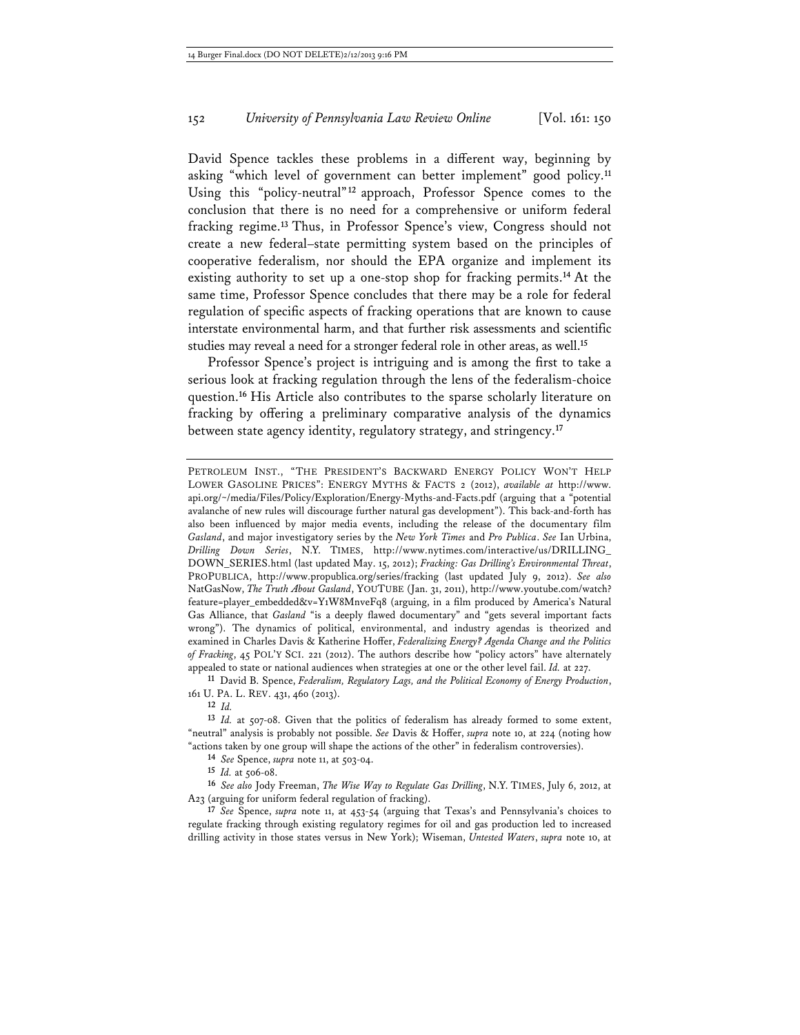David Spence tackles these problems in a different way, beginning by asking "which level of government can better implement" good policy.**<sup>11</sup>** Using this "policy-neutral"**<sup>12</sup>** approach, Professor Spence comes to the conclusion that there is no need for a comprehensive or uniform federal fracking regime.**<sup>13</sup>** Thus, in Professor Spence's view, Congress should not create a new federal–state permitting system based on the principles of cooperative federalism, nor should the EPA organize and implement its existing authority to set up a one-stop shop for fracking permits.**<sup>14</sup>** At the same time, Professor Spence concludes that there may be a role for federal regulation of specific aspects of fracking operations that are known to cause interstate environmental harm, and that further risk assessments and scientific studies may reveal a need for a stronger federal role in other areas, as well.**<sup>15</sup>**

Professor Spence's project is intriguing and is among the first to take a serious look at fracking regulation through the lens of the federalism-choice question.**<sup>16</sup>** His Article also contributes to the sparse scholarly literature on fracking by offering a preliminary comparative analysis of the dynamics between state agency identity, regulatory strategy, and stringency.**<sup>17</sup>**

PETROLEUM INST., "THE PRESIDENT'S BACKWARD ENERGY POLICY WON'T HELP LOWER GASOLINE PRICES": ENERGY MYTHS & FACTS 2 (2012), *available at* http://www. api.org/~/media/Files/Policy/Exploration/Energy-Myths-and-Facts.pdf (arguing that a "potential avalanche of new rules will discourage further natural gas development"). This back-and-forth has also been influenced by major media events, including the release of the documentary film *Gasland*, and major investigatory series by the *New York Times* and *Pro Publica*. *See* Ian Urbina, *Drilling Down Series*, N.Y. TIMES, http://www.nytimes.com/interactive/us/DRILLING\_ DOWN\_SERIES.html (last updated May. 15, 2012); *Fracking: Gas Drilling's Environmental Threat*, PROPUBLICA, http://www.propublica.org/series/fracking (last updated July 9, 2012). *See also* NatGasNow, *The Truth About Gasland*, YOUTUBE (Jan. 31, 2011), http://www.youtube.com/watch? feature=player\_embedded&v=Y1W8MnveFq8 (arguing, in a film produced by America's Natural Gas Alliance, that *Gasland* "is a deeply flawed documentary" and "gets several important facts wrong"). The dynamics of political, environmental, and industry agendas is theorized and examined in Charles Davis & Katherine Hoffer, *Federalizing Energy? Agenda Change and the Politics of Fracking*, 45 POL'Y SCI. 221 (2012). The authors describe how "policy actors" have alternately appealed to state or national audiences when strategies at one or the other level fail. *Id.* at 227.

**11** David B. Spence, *Federalism, Regulatory Lags, and the Political Economy of Energy Production*, 161 U. PA. L. REV. 431, 460 (2013).

**12** *Id.* 

**13** *Id.* at 507-08. Given that the politics of federalism has already formed to some extent, "neutral" analysis is probably not possible. *See* Davis & Hoffer, *supra* note 10, at 224 (noting how "actions taken by one group will shape the actions of the other" in federalism controversies).

**14** *See* Spence, *supra* note 11, at 503-04.

**15** *Id.* at 506-08.

**16** *See also* Jody Freeman, *The Wise Way to Regulate Gas Drilling*, N.Y. TIMES, July 6, 2012, at A23 (arguing for uniform federal regulation of fracking).

**17** *See* Spence, *supra* note 11, at 453-54 (arguing that Texas's and Pennsylvania's choices to regulate fracking through existing regulatory regimes for oil and gas production led to increased drilling activity in those states versus in New York); Wiseman, *Untested Waters*, *supra* note 10, at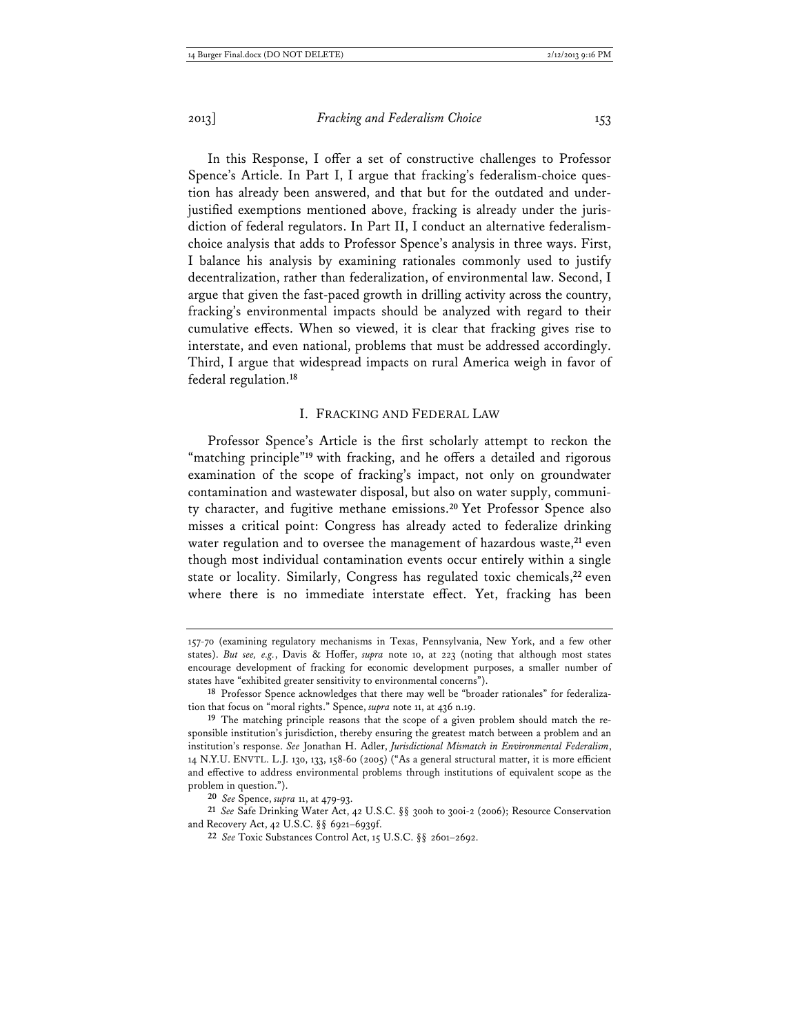In this Response, I offer a set of constructive challenges to Professor Spence's Article. In Part I, I argue that fracking's federalism-choice question has already been answered, and that but for the outdated and underjustified exemptions mentioned above, fracking is already under the jurisdiction of federal regulators. In Part II, I conduct an alternative federalismchoice analysis that adds to Professor Spence's analysis in three ways. First, I balance his analysis by examining rationales commonly used to justify decentralization, rather than federalization, of environmental law. Second, I argue that given the fast-paced growth in drilling activity across the country, fracking's environmental impacts should be analyzed with regard to their cumulative effects. When so viewed, it is clear that fracking gives rise to interstate, and even national, problems that must be addressed accordingly. Third, I argue that widespread impacts on rural America weigh in favor of federal regulation.**<sup>18</sup>**

#### I. FRACKING AND FEDERAL LAW

Professor Spence's Article is the first scholarly attempt to reckon the "matching principle"**<sup>19</sup>** with fracking, and he offers a detailed and rigorous examination of the scope of fracking's impact, not only on groundwater contamination and wastewater disposal, but also on water supply, community character, and fugitive methane emissions.**<sup>20</sup>** Yet Professor Spence also misses a critical point: Congress has already acted to federalize drinking water regulation and to oversee the management of hazardous waste,**<sup>21</sup>** even though most individual contamination events occur entirely within a single state or locality. Similarly, Congress has regulated toxic chemicals,**<sup>22</sup>** even where there is no immediate interstate effect. Yet, fracking has been

<sup>157-70 (</sup>examining regulatory mechanisms in Texas, Pennsylvania, New York, and a few other states). *But see, e.g.*, Davis & Hoffer, *supra* note 10, at 223 (noting that although most states encourage development of fracking for economic development purposes, a smaller number of states have "exhibited greater sensitivity to environmental concerns").

**<sup>18</sup>** Professor Spence acknowledges that there may well be "broader rationales" for federalization that focus on "moral rights." Spence, *supra* note 11, at 436 n.19.

**<sup>19</sup>** The matching principle reasons that the scope of a given problem should match the responsible institution's jurisdiction, thereby ensuring the greatest match between a problem and an institution's response. *See* Jonathan H. Adler, *Jurisdictional Mismatch in Environmental Federalism*, 14 N.Y.U. ENVTL. L.J. 130, 133, 158-60 (2005) ("As a general structural matter, it is more efficient and effective to address environmental problems through institutions of equivalent scope as the problem in question.").

**<sup>20</sup>** *See* Spence, *supra* 11, at 479-93.

**<sup>21</sup>** *See* Safe Drinking Water Act, 42 U.S.C. §§ 300h to 300i-2 (2006); Resource Conservation and Recovery Act, 42 U.S.C. §§ 6921–6939f.

**<sup>22</sup>** *See* Toxic Substances Control Act, 15 U.S.C. §§ 2601–2692.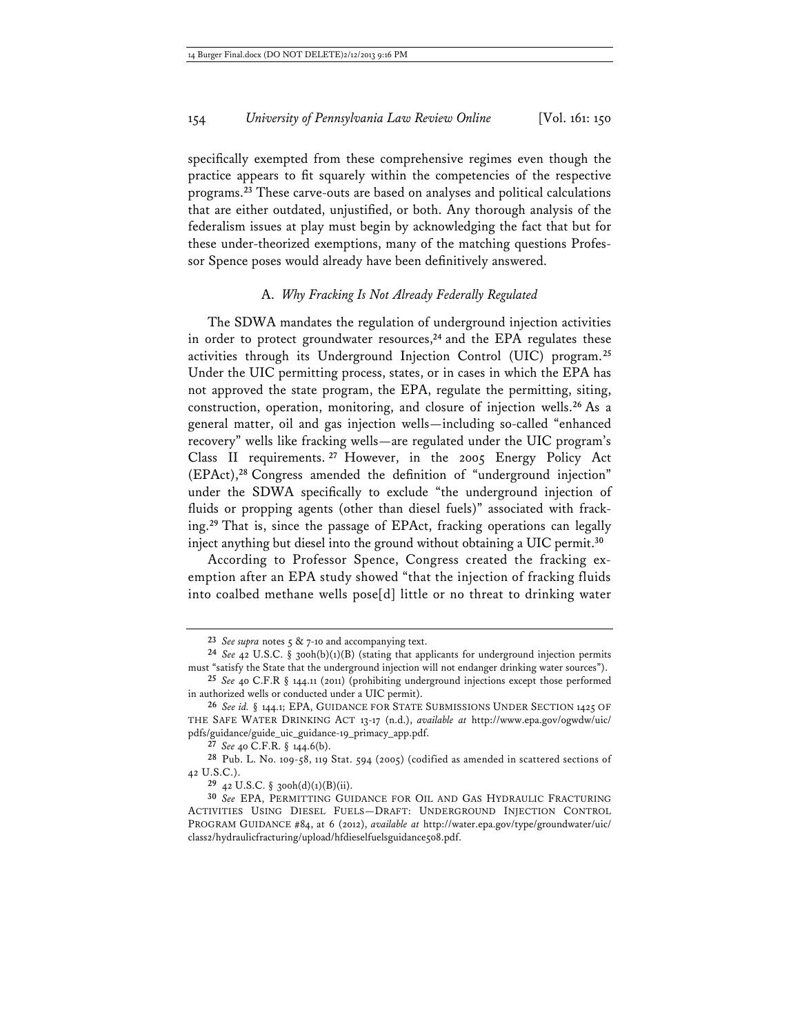specifically exempted from these comprehensive regimes even though the practice appears to fit squarely within the competencies of the respective programs.**<sup>23</sup>** These carve-outs are based on analyses and political calculations that are either outdated, unjustified, or both. Any thorough analysis of the federalism issues at play must begin by acknowledging the fact that but for these under-theorized exemptions, many of the matching questions Professor Spence poses would already have been definitively answered.

# A. *Why Fracking Is Not Already Federally Regulated*

The SDWA mandates the regulation of underground injection activities in order to protect groundwater resources,**<sup>24</sup>** and the EPA regulates these activities through its Underground Injection Control (UIC) program.**<sup>25</sup>** Under the UIC permitting process, states, or in cases in which the EPA has not approved the state program, the EPA, regulate the permitting, siting, construction, operation, monitoring, and closure of injection wells.**<sup>26</sup>** As a general matter, oil and gas injection wells—including so-called "enhanced recovery" wells like fracking wells—are regulated under the UIC program's Class II requirements. **<sup>27</sup>** However, in the 2005 Energy Policy Act (EPAct),**<sup>28</sup>** Congress amended the definition of "underground injection" under the SDWA specifically to exclude "the underground injection of fluids or propping agents (other than diesel fuels)" associated with fracking.**<sup>29</sup>** That is, since the passage of EPAct, fracking operations can legally inject anything but diesel into the ground without obtaining a UIC permit.**<sup>30</sup>**

According to Professor Spence, Congress created the fracking exemption after an EPA study showed "that the injection of fracking fluids into coalbed methane wells pose[d] little or no threat to drinking water

**<sup>23</sup>** *See supra* notes 5 & 7-10 and accompanying text.

**<sup>24</sup>** *See* 42 U.S.C. § 300h(b)(1)(B) (stating that applicants for underground injection permits must "satisfy the State that the underground injection will not endanger drinking water sources").

**<sup>25</sup>** *See* 40 C.F.R § 144.11 (2011) (prohibiting underground injections except those performed in authorized wells or conducted under a UIC permit).

**<sup>26</sup>** *See id.* § 144.1; EPA, GUIDANCE FOR STATE SUBMISSIONS UNDER SECTION 1425 OF THE SAFE WATER DRINKING ACT 13-17 (n.d.), *available at* http://www.epa.gov/ogwdw/uic/ pdfs/guidance/guide\_uic\_guidance-19\_primacy\_app.pdf.

**<sup>27</sup>** *See* 40 C.F.R. § 144.6(b).

**<sup>28</sup>** Pub. L. No. 109-58, 119 Stat. 594 (2005) (codified as amended in scattered sections of 42 U.S.C.).

**<sup>29</sup>** 42 U.S.C. § 300h(d)(1)(B)(ii).

**<sup>30</sup>** *See* EPA, PERMITTING GUIDANCE FOR OIL AND GAS HYDRAULIC FRACTURING ACTIVITIES USING DIESEL FUELS—DRAFT: UNDERGROUND INJECTION CONTROL PROGRAM GUIDANCE #84, at 6 (2012), *available at* http://water.epa.gov/type/groundwater/uic/ class2/hydraulicfracturing/upload/hfdieselfuelsguidance508.pdf.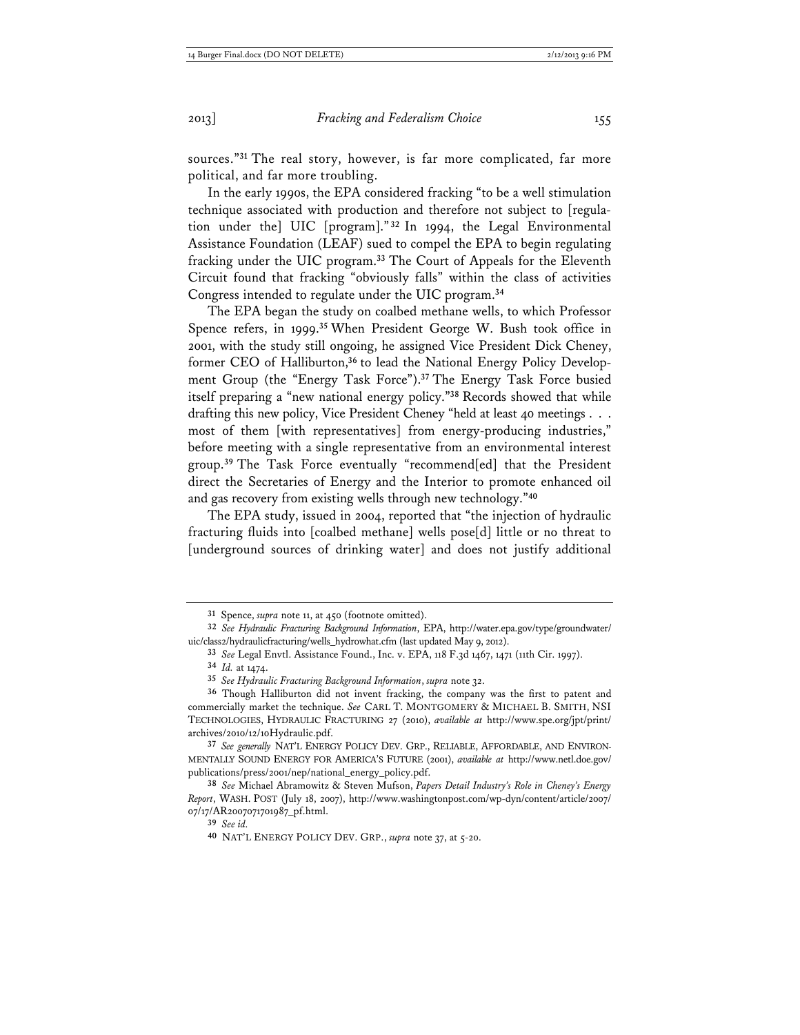sources."**<sup>31</sup>** The real story, however, is far more complicated, far more political, and far more troubling.

In the early 1990s, the EPA considered fracking "to be a well stimulation technique associated with production and therefore not subject to [regulation under the] UIC [program]." **<sup>32</sup>** In 1994, the Legal Environmental Assistance Foundation (LEAF) sued to compel the EPA to begin regulating fracking under the UIC program.**<sup>33</sup>** The Court of Appeals for the Eleventh Circuit found that fracking "obviously falls" within the class of activities Congress intended to regulate under the UIC program.**<sup>34</sup>**

The EPA began the study on coalbed methane wells, to which Professor Spence refers, in 1999.**<sup>35</sup>** When President George W. Bush took office in 2001, with the study still ongoing, he assigned Vice President Dick Cheney, former CEO of Halliburton,**36** to lead the National Energy Policy Development Group (the "Energy Task Force").**<sup>37</sup>** The Energy Task Force busied itself preparing a "new national energy policy."**<sup>38</sup>** Records showed that while drafting this new policy, Vice President Cheney "held at least 40 meetings . . . most of them [with representatives] from energy-producing industries," before meeting with a single representative from an environmental interest group.**<sup>39</sup>** The Task Force eventually "recommend[ed] that the President direct the Secretaries of Energy and the Interior to promote enhanced oil and gas recovery from existing wells through new technology."**<sup>40</sup>**

The EPA study, issued in 2004, reported that "the injection of hydraulic fracturing fluids into [coalbed methane] wells pose[d] little or no threat to [underground sources of drinking water] and does not justify additional

**<sup>31</sup>** Spence, *supra* note 11, at 450 (footnote omitted).

**<sup>32</sup>** *See Hydraulic Fracturing Background Information*, EPA, http://water.epa.gov/type/groundwater/ uic/class2/hydraulicfracturing/wells\_hydrowhat.cfm (last updated May 9, 2012).

**<sup>33</sup>** *See* Legal Envtl. Assistance Found., Inc. v. EPA, 118 F.3d 1467, 1471 (11th Cir. 1997).

**<sup>34</sup>** *Id.* at 1474.

**<sup>35</sup>** *See Hydraulic Fracturing Background Information*, *supra* note 32.

**<sup>36</sup>** Though Halliburton did not invent fracking, the company was the first to patent and commercially market the technique. *See* CARL T. MONTGOMERY & MICHAEL B. SMITH, NSI TECHNOLOGIES, HYDRAULIC FRACTURING 27 (2010), *available at* http://www.spe.org/jpt/print/ archives/2010/12/10Hydraulic.pdf.

**<sup>37</sup>** *See generally* NAT'L ENERGY POLICY DEV. GRP., RELIABLE, AFFORDABLE, AND ENVIRON-MENTALLY SOUND ENERGY FOR AMERICA'S FUTURE (2001), *available at* http://www.netl.doe.gov/ publications/press/2001/nep/national\_energy\_policy.pdf.

**<sup>38</sup>** *See* Michael Abramowitz & Steven Mufson, *Papers Detail Industry's Role in Cheney's Energy Report*, WASH. POST (July 18, 2007), http://www.washingtonpost.com/wp-dyn/content/article/2007/ 07/17/AR2007071701987\_pf.html.

**<sup>39</sup>** *See id.*

**<sup>40</sup>** NAT'L ENERGY POLICY DEV. GRP., *supra* note 37, at 5-20.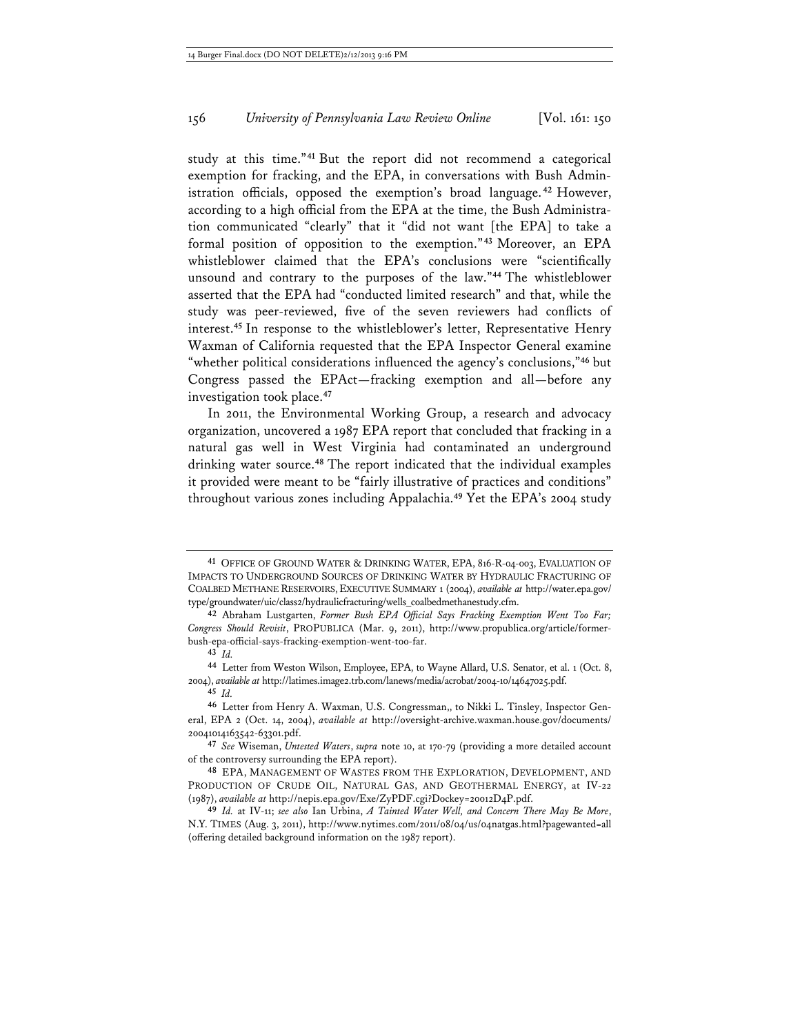study at this time."**<sup>41</sup>** But the report did not recommend a categorical exemption for fracking, and the EPA, in conversations with Bush Administration officials, opposed the exemption's broad language. **<sup>42</sup>** However, according to a high official from the EPA at the time, the Bush Administration communicated "clearly" that it "did not want [the EPA] to take a formal position of opposition to the exemption."**<sup>43</sup>** Moreover, an EPA whistleblower claimed that the EPA's conclusions were "scientifically unsound and contrary to the purposes of the law."**<sup>44</sup>** The whistleblower asserted that the EPA had "conducted limited research" and that, while the study was peer-reviewed, five of the seven reviewers had conflicts of interest.**<sup>45</sup>** In response to the whistleblower's letter, Representative Henry Waxman of California requested that the EPA Inspector General examine "whether political considerations influenced the agency's conclusions,"**<sup>46</sup>** but Congress passed the EPAct—fracking exemption and all—before any investigation took place.**<sup>47</sup>**

In 2011, the Environmental Working Group, a research and advocacy organization, uncovered a 1987 EPA report that concluded that fracking in a natural gas well in West Virginia had contaminated an underground drinking water source.**<sup>48</sup>** The report indicated that the individual examples it provided were meant to be "fairly illustrative of practices and conditions" throughout various zones including Appalachia.**<sup>49</sup>** Yet the EPA's 2004 study

**<sup>41</sup>** OFFICE OF GROUND WATER & DRINKING WATER, EPA, 816-R-04-003, EVALUATION OF IMPACTS TO UNDERGROUND SOURCES OF DRINKING WATER BY HYDRAULIC FRACTURING OF COALBED METHANE RESERVOIRS, EXECUTIVE SUMMARY 1 (2004), *available at* http://water.epa.gov/ type/groundwater/uic/class2/hydraulicfracturing/wells\_coalbedmethanestudy.cfm.

**<sup>42</sup>** Abraham Lustgarten, *Former Bush EPA Official Says Fracking Exemption Went Too Far; Congress Should Revisit*, PROPUBLICA (Mar. 9, 2011), http://www.propublica.org/article/formerbush-epa-official-says-fracking-exemption-went-too-far.

**<sup>43</sup>** *Id.*

**<sup>44</sup>** Letter from Weston Wilson, Employee, EPA, to Wayne Allard, U.S. Senator, et al. 1 (Oct. 8, 2004), *available at* http://latimes.image2.trb.com/lanews/media/acrobat/2004-10/14647025.pdf. **45** *Id.*

**<sup>46</sup>** Letter from Henry A. Waxman, U.S. Congressman,, to Nikki L. Tinsley, Inspector General, EPA 2 (Oct. 14, 2004), *available at* http://oversight-archive.waxman.house.gov/documents/ 20041014163542-63301.pdf.

**<sup>47</sup>** *See* Wiseman, *Untested Waters*, *supra* note 10, at 170-79 (providing a more detailed account of the controversy surrounding the EPA report).

**<sup>48</sup>** EPA, MANAGEMENT OF WASTES FROM THE EXPLORATION, DEVELOPMENT, AND PRODUCTION OF CRUDE OIL, NATURAL GAS, AND GEOTHERMAL ENERGY, at IV-22 (1987), *available at* http://nepis.epa.gov/Exe/ZyPDF.cgi?Dockey=20012D4P.pdf.

**<sup>49</sup>** *Id.* at IV-11; *see also* Ian Urbina, *A Tainted Water Well, and Concern There May Be More*, N.Y. TIMES (Aug. 3, 2011), http://www.nytimes.com/2011/08/04/us/04natgas.html?pagewanted=all (offering detailed background information on the 1987 report).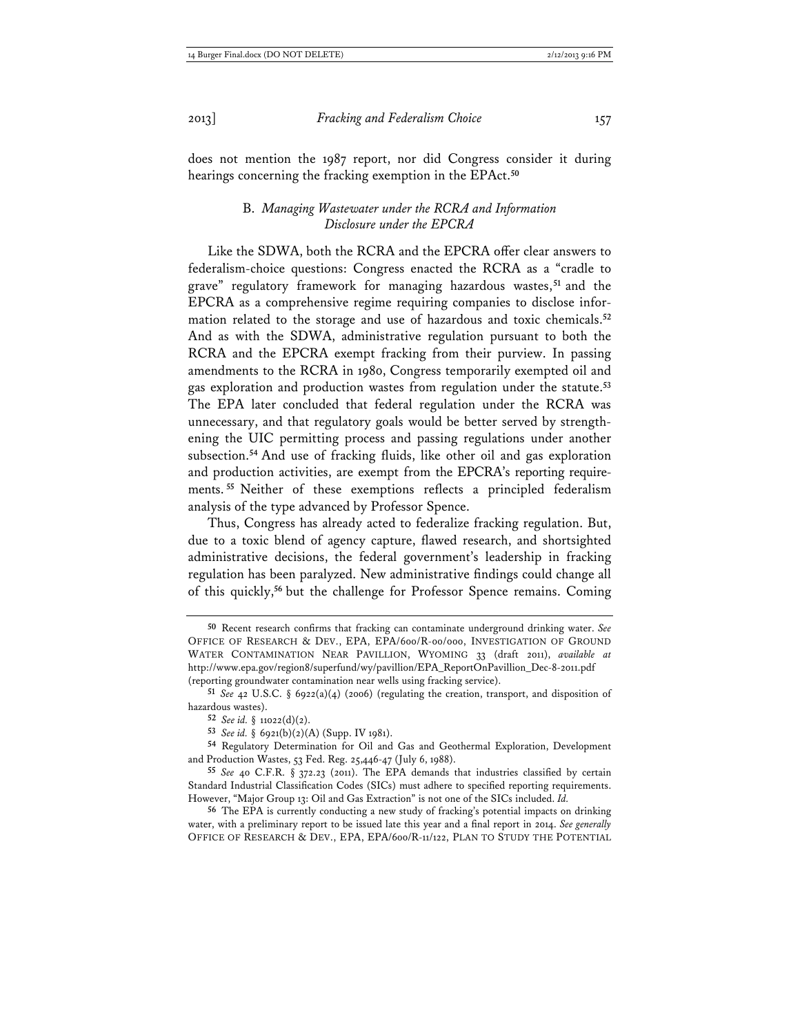does not mention the 1987 report, nor did Congress consider it during hearings concerning the fracking exemption in the EPAct.**<sup>50</sup>**

## B. *Managing Wastewater under the RCRA and Information Disclosure under the EPCRA*

Like the SDWA, both the RCRA and the EPCRA offer clear answers to federalism-choice questions: Congress enacted the RCRA as a "cradle to grave" regulatory framework for managing hazardous wastes, **<sup>51</sup>** and the EPCRA as a comprehensive regime requiring companies to disclose information related to the storage and use of hazardous and toxic chemicals.**<sup>52</sup>** And as with the SDWA, administrative regulation pursuant to both the RCRA and the EPCRA exempt fracking from their purview. In passing amendments to the RCRA in 1980, Congress temporarily exempted oil and gas exploration and production wastes from regulation under the statute.**<sup>53</sup>** The EPA later concluded that federal regulation under the RCRA was unnecessary, and that regulatory goals would be better served by strengthening the UIC permitting process and passing regulations under another subsection.**<sup>54</sup>** And use of fracking fluids, like other oil and gas exploration and production activities, are exempt from the EPCRA's reporting requirements. **<sup>55</sup>** Neither of these exemptions reflects a principled federalism analysis of the type advanced by Professor Spence.

Thus, Congress has already acted to federalize fracking regulation. But, due to a toxic blend of agency capture, flawed research, and shortsighted administrative decisions, the federal government's leadership in fracking regulation has been paralyzed. New administrative findings could change all of this quickly,**<sup>56</sup>** but the challenge for Professor Spence remains. Coming

**<sup>50</sup>** Recent research confirms that fracking can contaminate underground drinking water. *See* OFFICE OF RESEARCH & DEV., EPA, EPA/600/R-00/000, INVESTIGATION OF GROUND WATER CONTAMINATION NEAR PAVILLION, WYOMING 33 (draft 2011), *available at*  http://www.epa.gov/region8/superfund/wy/pavillion/EPA\_ReportOnPavillion\_Dec-8-2011.pdf (reporting groundwater contamination near wells using fracking service).

**<sup>51</sup>** *See* 42 U.S.C. § 6922(a)(4) (2006) (regulating the creation, transport, and disposition of hazardous wastes).

**<sup>52</sup>** *See id.* § 11022(d)(2).

**<sup>53</sup>** *See id.* § 6921(b)(2)(A) (Supp. IV 1981).

**<sup>54</sup>** Regulatory Determination for Oil and Gas and Geothermal Exploration, Development and Production Wastes, 53 Fed. Reg. 25,446-47 (July 6, 1988).

**<sup>55</sup>** *See* 40 C.F.R. § 372.23 (2011). The EPA demands that industries classified by certain Standard Industrial Classification Codes (SICs) must adhere to specified reporting requirements. However, "Major Group 13: Oil and Gas Extraction" is not one of the SICs included. *Id.*

**<sup>56</sup>** The EPA is currently conducting a new study of fracking's potential impacts on drinking water, with a preliminary report to be issued late this year and a final report in 2014. *See generally* OFFICE OF RESEARCH & DEV., EPA, EPA/600/R-11/122, PLAN TO STUDY THE POTENTIAL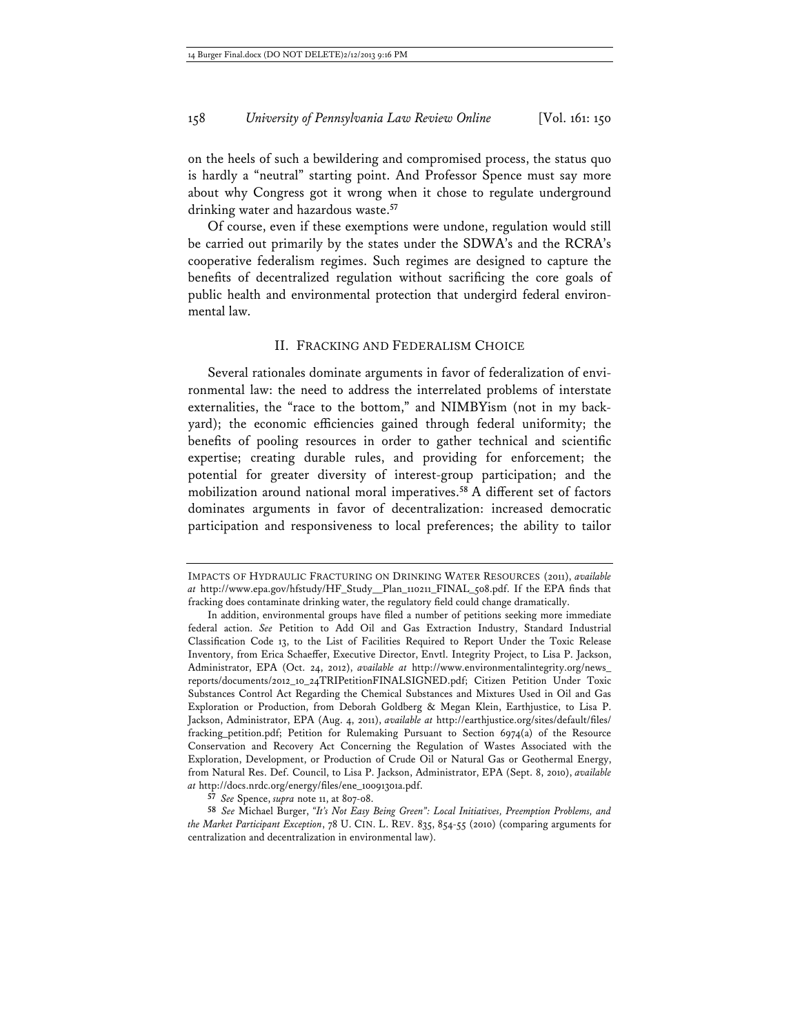on the heels of such a bewildering and compromised process, the status quo is hardly a "neutral" starting point. And Professor Spence must say more about why Congress got it wrong when it chose to regulate underground drinking water and hazardous waste.**<sup>57</sup>**

Of course, even if these exemptions were undone, regulation would still be carried out primarily by the states under the SDWA's and the RCRA's cooperative federalism regimes. Such regimes are designed to capture the benefits of decentralized regulation without sacrificing the core goals of public health and environmental protection that undergird federal environmental law.

# II. FRACKING AND FEDERALISM CHOICE

Several rationales dominate arguments in favor of federalization of environmental law: the need to address the interrelated problems of interstate externalities, the "race to the bottom," and NIMBYism (not in my backyard); the economic efficiencies gained through federal uniformity; the benefits of pooling resources in order to gather technical and scientific expertise; creating durable rules, and providing for enforcement; the potential for greater diversity of interest-group participation; and the mobilization around national moral imperatives.**<sup>58</sup>** A different set of factors dominates arguments in favor of decentralization: increased democratic participation and responsiveness to local preferences; the ability to tailor

**57** *See* Spence, *supra* note 11, at 807-08.

IMPACTS OF HYDRAULIC FRACTURING ON DRINKING WATER RESOURCES (2011), *available at* http://www.epa.gov/hfstudy/HF\_Study\_\_Plan\_110211\_FINAL\_508.pdf. If the EPA finds that fracking does contaminate drinking water, the regulatory field could change dramatically.

In addition, environmental groups have filed a number of petitions seeking more immediate federal action. *See* Petition to Add Oil and Gas Extraction Industry, Standard Industrial Classification Code 13, to the List of Facilities Required to Report Under the Toxic Release Inventory, from Erica Schaeffer, Executive Director, Envtl. Integrity Project, to Lisa P. Jackson, Administrator, EPA (Oct. 24, 2012), *available at* http://www.environmentalintegrity.org/news\_ reports/documents/2012\_10\_24TRIPetitionFINALSIGNED.pdf; Citizen Petition Under Toxic Substances Control Act Regarding the Chemical Substances and Mixtures Used in Oil and Gas Exploration or Production, from Deborah Goldberg & Megan Klein, Earthjustice, to Lisa P. Jackson, Administrator, EPA (Aug. 4, 2011), *available at* http://earthjustice.org/sites/default/files/ fracking\_petition.pdf; Petition for Rulemaking Pursuant to Section 6974(a) of the Resource Conservation and Recovery Act Concerning the Regulation of Wastes Associated with the Exploration, Development, or Production of Crude Oil or Natural Gas or Geothermal Energy, from Natural Res. Def. Council, to Lisa P. Jackson, Administrator, EPA (Sept. 8, 2010), *available at* http://docs.nrdc.org/energy/files/ene\_10091301a.pdf.

**<sup>58</sup>** *See* Michael Burger, *"It's Not Easy Being Green": Local Initiatives, Preemption Problems, and the Market Participant Exception*, 78 U. CIN. L. REV. 835, 854-55 (2010) (comparing arguments for centralization and decentralization in environmental law).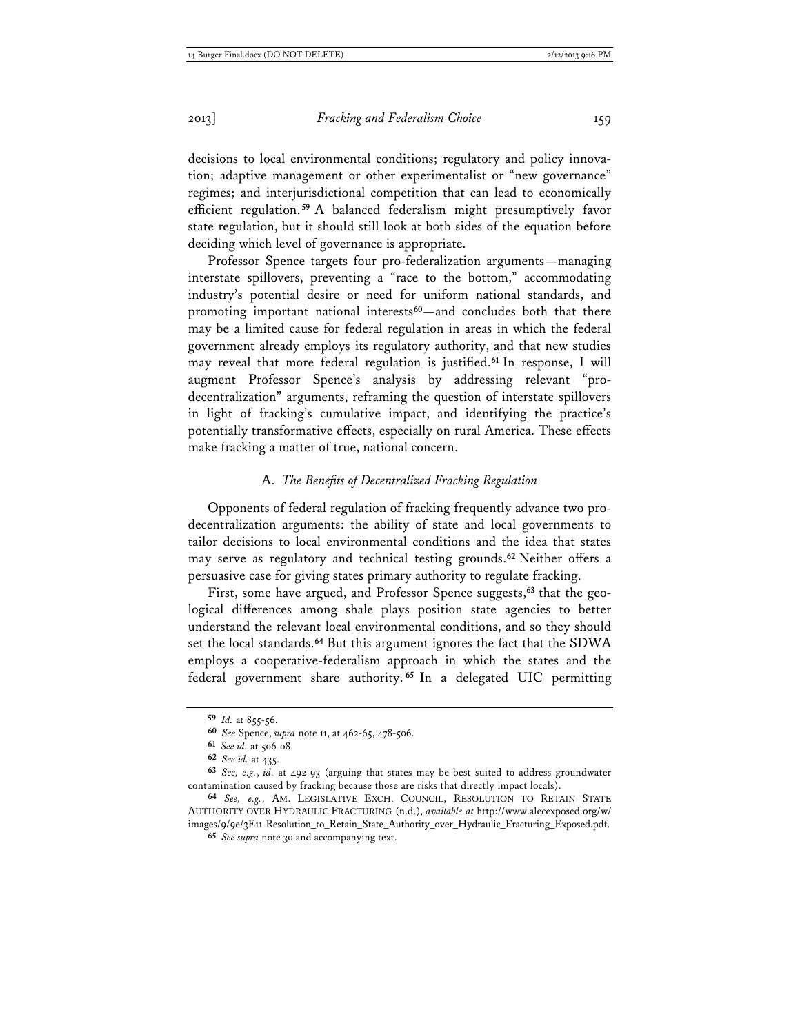decisions to local environmental conditions; regulatory and policy innovation; adaptive management or other experimentalist or "new governance" regimes; and interjurisdictional competition that can lead to economically efficient regulation. **<sup>59</sup>** A balanced federalism might presumptively favor state regulation, but it should still look at both sides of the equation before deciding which level of governance is appropriate.

Professor Spence targets four pro-federalization arguments—managing interstate spillovers, preventing a "race to the bottom," accommodating industry's potential desire or need for uniform national standards, and promoting important national interests**<sup>60</sup>**—and concludes both that there may be a limited cause for federal regulation in areas in which the federal government already employs its regulatory authority, and that new studies may reveal that more federal regulation is justified.**<sup>61</sup>** In response, I will augment Professor Spence's analysis by addressing relevant "prodecentralization" arguments, reframing the question of interstate spillovers in light of fracking's cumulative impact, and identifying the practice's potentially transformative effects, especially on rural America. These effects make fracking a matter of true, national concern.

#### A. *The Benefits of Decentralized Fracking Regulation*

Opponents of federal regulation of fracking frequently advance two prodecentralization arguments: the ability of state and local governments to tailor decisions to local environmental conditions and the idea that states may serve as regulatory and technical testing grounds.**<sup>62</sup>** Neither offers a persuasive case for giving states primary authority to regulate fracking.

First, some have argued, and Professor Spence suggests,**63** that the geological differences among shale plays position state agencies to better understand the relevant local environmental conditions, and so they should set the local standards.**<sup>64</sup>** But this argument ignores the fact that the SDWA employs a cooperative-federalism approach in which the states and the federal government share authority. **<sup>65</sup>** In a delegated UIC permitting

**<sup>59</sup>** *Id.* at 855-56.

**<sup>60</sup>** *See* Spence, *supra* note 11, at 462-65, 478-506.

**<sup>61</sup>** *See id.* at 506-08.

**<sup>62</sup>** *See id.* at 435.

**<sup>63</sup>** *See, e.g.*, *id.* at 492-93 (arguing that states may be best suited to address groundwater contamination caused by fracking because those are risks that directly impact locals).

**<sup>64</sup>** *See, e.g.*, AM. LEGISLATIVE EXCH. COUNCIL, RESOLUTION TO RETAIN STATE AUTHORITY OVER HYDRAULIC FRACTURING (n.d.), *available at* http://www.alecexposed.org/w/ images/9/9e/3E11-Resolution\_to\_Retain\_State\_Authority\_over\_Hydraulic\_Fracturing\_Exposed.pdf.

**<sup>65</sup>** *See supra* note 30 and accompanying text.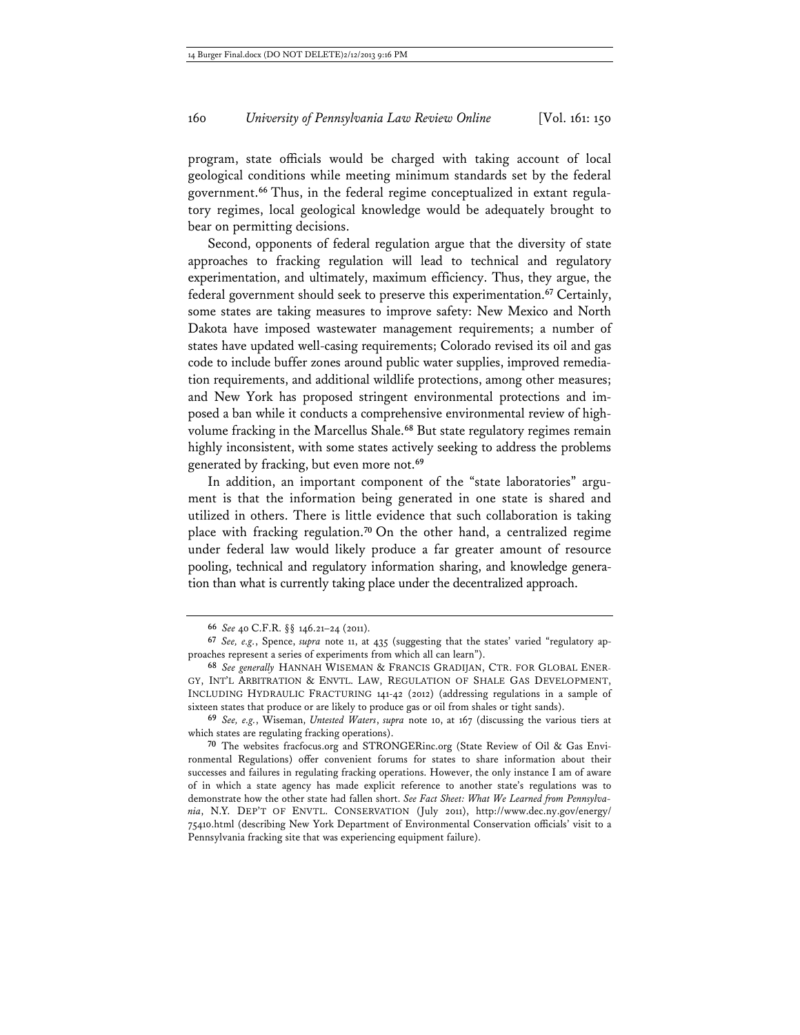program, state officials would be charged with taking account of local geological conditions while meeting minimum standards set by the federal government.**66** Thus, in the federal regime conceptualized in extant regulatory regimes, local geological knowledge would be adequately brought to bear on permitting decisions.

Second, opponents of federal regulation argue that the diversity of state approaches to fracking regulation will lead to technical and regulatory experimentation, and ultimately, maximum efficiency. Thus, they argue, the federal government should seek to preserve this experimentation.**<sup>67</sup>** Certainly, some states are taking measures to improve safety: New Mexico and North Dakota have imposed wastewater management requirements; a number of states have updated well-casing requirements; Colorado revised its oil and gas code to include buffer zones around public water supplies, improved remediation requirements, and additional wildlife protections, among other measures; and New York has proposed stringent environmental protections and imposed a ban while it conducts a comprehensive environmental review of highvolume fracking in the Marcellus Shale.**<sup>68</sup>** But state regulatory regimes remain highly inconsistent, with some states actively seeking to address the problems generated by fracking, but even more not.**<sup>69</sup>**

In addition, an important component of the "state laboratories" argument is that the information being generated in one state is shared and utilized in others. There is little evidence that such collaboration is taking place with fracking regulation.**<sup>70</sup>** On the other hand, a centralized regime under federal law would likely produce a far greater amount of resource pooling, technical and regulatory information sharing, and knowledge generation than what is currently taking place under the decentralized approach.

**<sup>66</sup>** *See* 40 C.F.R. §§ 146.21–24 (2011).

**<sup>67</sup>** *See, e.g.*, Spence, *supra* note 11, at 435 (suggesting that the states' varied "regulatory approaches represent a series of experiments from which all can learn").

**<sup>68</sup>** *See generally* HANNAH WISEMAN & FRANCIS GRADIJAN, CTR. FOR GLOBAL ENER-GY, INT'L ARBITRATION & ENVTL. LAW, REGULATION OF SHALE GAS DEVELOPMENT, INCLUDING HYDRAULIC FRACTURING 141-42 (2012) (addressing regulations in a sample of sixteen states that produce or are likely to produce gas or oil from shales or tight sands).

**<sup>69</sup>** *See, e.g.*, Wiseman, *Untested Waters*, *supra* note 10, at 167 (discussing the various tiers at which states are regulating fracking operations).

**<sup>70</sup>** The websites fracfocus.org and STRONGERinc.org (State Review of Oil & Gas Environmental Regulations) offer convenient forums for states to share information about their successes and failures in regulating fracking operations. However, the only instance I am of aware of in which a state agency has made explicit reference to another state's regulations was to demonstrate how the other state had fallen short. *See Fact Sheet: What We Learned from Pennsylvania*, N.Y. DEP'T OF ENVTL. CONSERVATION (July 2011), http://www.dec.ny.gov/energy/ 75410.html (describing New York Department of Environmental Conservation officials' visit to a Pennsylvania fracking site that was experiencing equipment failure).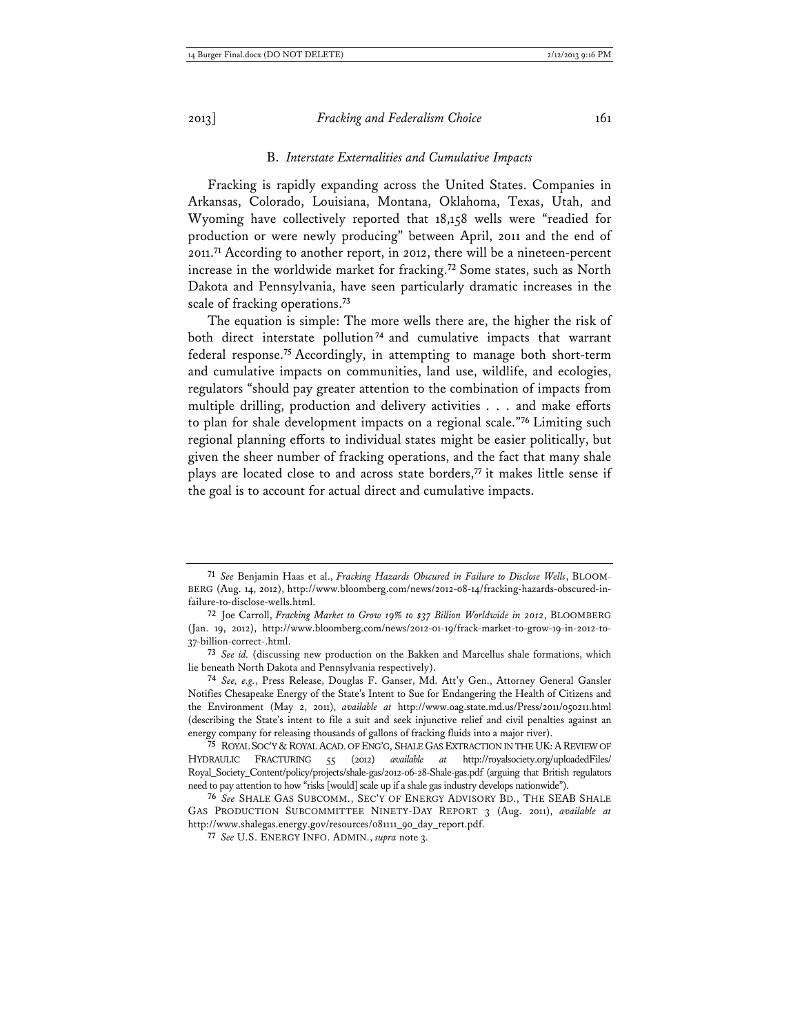#### B. *Interstate Externalities and Cumulative Impacts*

Fracking is rapidly expanding across the United States. Companies in Arkansas, Colorado, Louisiana, Montana, Oklahoma, Texas, Utah, and Wyoming have collectively reported that 18,158 wells were "readied for production or were newly producing" between April, 2011 and the end of 2011.**<sup>71</sup>** According to another report, in 2012, there will be a nineteen-percent increase in the worldwide market for fracking.**<sup>72</sup>** Some states, such as North Dakota and Pennsylvania, have seen particularly dramatic increases in the scale of fracking operations.**<sup>73</sup>**

The equation is simple: The more wells there are, the higher the risk of both direct interstate pollution**<sup>74</sup>** and cumulative impacts that warrant federal response.**<sup>75</sup>** Accordingly, in attempting to manage both short-term and cumulative impacts on communities, land use, wildlife, and ecologies, regulators "should pay greater attention to the combination of impacts from multiple drilling, production and delivery activities . . . and make efforts to plan for shale development impacts on a regional scale."**<sup>76</sup>** Limiting such regional planning efforts to individual states might be easier politically, but given the sheer number of fracking operations, and the fact that many shale plays are located close to and across state borders,**<sup>77</sup>** it makes little sense if the goal is to account for actual direct and cumulative impacts.

**<sup>71</sup>** *See* Benjamin Haas et al., *Fracking Hazards Obscured in Failure to Disclose Wells*, BLOOM-BERG (Aug. 14, 2012), http://www.bloomberg.com/news/2012-08-14/fracking-hazards-obscured-infailure-to-disclose-wells.html.

**<sup>72</sup>** Joe Carroll, *Fracking Market to Grow 19% to \$37 Billion Worldwide in 2012*, BLOOMBERG (Jan. 19, 2012), http://www.bloomberg.com/news/2012-01-19/frack-market-to-grow-19-in-2012-to-37-billion-correct-.html.

**<sup>73</sup>** *See id.* (discussing new production on the Bakken and Marcellus shale formations, which lie beneath North Dakota and Pennsylvania respectively).

**<sup>74</sup>** *See, e.g.*, Press Release, Douglas F. Ganser, Md. Att'y Gen., Attorney General Gansler Notifies Chesapeake Energy of the State's Intent to Sue for Endangering the Health of Citizens and the Environment (May 2, 2011), *available at* http://www.oag.state.md.us/Press/2011/050211.html (describing the State's intent to file a suit and seek injunctive relief and civil penalties against an energy company for releasing thousands of gallons of fracking fluids into a major river).

**<sup>75</sup>** ROYAL SOC'Y &ROYAL ACAD. OF ENG'G, SHALE GAS EXTRACTION IN THE UK:AREVIEW OF HYDRAULIC FRACTURING 55 (2012) *available at* http://royalsociety.org/uploadedFiles/ Royal\_Society\_Content/policy/projects/shale-gas/2012-06-28-Shale-gas.pdf (arguing that British regulators need to pay attention to how "risks [would] scale up if a shale gas industry develops nationwide").

**<sup>76</sup>** *See* SHALE GAS SUBCOMM., SEC'Y OF ENERGY ADVISORY BD., THE SEAB SHALE GAS PRODUCTION SUBCOMMITTEE NINETY-DAY REPORT 3 (Aug. 2011), *available at* http://www.shalegas.energy.gov/resources/081111\_90\_day\_report.pdf.

**<sup>77</sup>** *See* U.S. ENERGY INFO. ADMIN., *supra* note 3.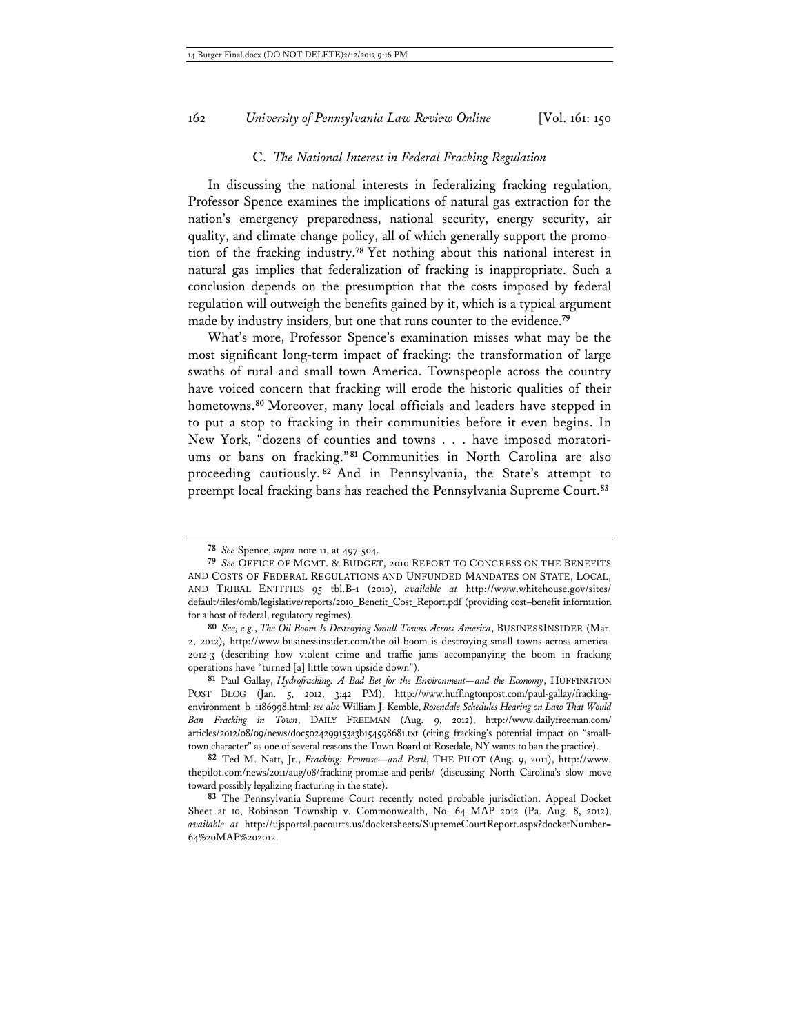### C. *The National Interest in Federal Fracking Regulation*

In discussing the national interests in federalizing fracking regulation, Professor Spence examines the implications of natural gas extraction for the nation's emergency preparedness, national security, energy security, air quality, and climate change policy, all of which generally support the promotion of the fracking industry.**<sup>78</sup>** Yet nothing about this national interest in natural gas implies that federalization of fracking is inappropriate. Such a conclusion depends on the presumption that the costs imposed by federal regulation will outweigh the benefits gained by it, which is a typical argument made by industry insiders, but one that runs counter to the evidence.**<sup>79</sup>**

What's more, Professor Spence's examination misses what may be the most significant long-term impact of fracking: the transformation of large swaths of rural and small town America. Townspeople across the country have voiced concern that fracking will erode the historic qualities of their hometowns.**<sup>80</sup>** Moreover, many local officials and leaders have stepped in to put a stop to fracking in their communities before it even begins. In New York, "dozens of counties and towns . . . have imposed moratoriums or bans on fracking."**<sup>81</sup>** Communities in North Carolina are also proceeding cautiously. **<sup>82</sup>** And in Pennsylvania, the State's attempt to preempt local fracking bans has reached the Pennsylvania Supreme Court.**<sup>83</sup>**

**<sup>78</sup>** *See* Spence, *supra* note 11, at 497-504.

**<sup>79</sup>** *See* OFFICE OF MGMT. & BUDGET, 2010 REPORT TO CONGRESS ON THE BENEFITS AND COSTS OF FEDERAL REGULATIONS AND UNFUNDED MANDATES ON STATE, LOCAL, AND TRIBAL ENTITIES 95 tbl.B-1 (2010), *available at* http://www.whitehouse.gov/sites/ default/files/omb/legislative/reports/2010\_Benefit\_Cost\_Report.pdf (providing cost–benefit information for a host of federal, regulatory regimes).

**<sup>80</sup>** *See, e.g.*, *The Oil Boom Is Destroying Small Towns Across America*, BUSINESSINSIDER (Mar. 2, 2012), http://www.businessinsider.com/the-oil-boom-is-destroying-small-towns-across-america-2012-3 (describing how violent crime and traffic jams accompanying the boom in fracking operations have "turned [a] little town upside down").

**<sup>81</sup>** Paul Gallay, *Hydrofracking: A Bad Bet for the Environment—and the Economy*, HUFFINGTON POST BLOG (Jan. 5, 2012, 3:42 PM), http://www.huffingtonpost.com/paul-gallay/frackingenvironment\_b\_1186998.html; *see also* William J. Kemble, *Rosendale Schedules Hearing on Law That Would Ban Fracking in Town*, DAILY FREEMAN (Aug. 9, 2012), http://www.dailyfreeman.com/ articles/2012/08/09/news/doc5024299153a3b154598681.txt (citing fracking's potential impact on "smalltown character" as one of several reasons the Town Board of Rosedale, NY wants to ban the practice).

**<sup>82</sup>** Ted M. Natt, Jr., *Fracking: Promise—and Peril*, THE PILOT (Aug. 9, 2011), http://www. thepilot.com/news/2011/aug/08/fracking-promise-and-perils/ (discussing North Carolina's slow move toward possibly legalizing fracturing in the state).

**<sup>83</sup>** The Pennsylvania Supreme Court recently noted probable jurisdiction. Appeal Docket Sheet at 10, Robinson Township v. Commonwealth, No. 64 MAP 2012 (Pa. Aug. 8, 2012), *available at* http://ujsportal.pacourts.us/docketsheets/SupremeCourtReport.aspx?docketNumber= 64%20MAP%202012.